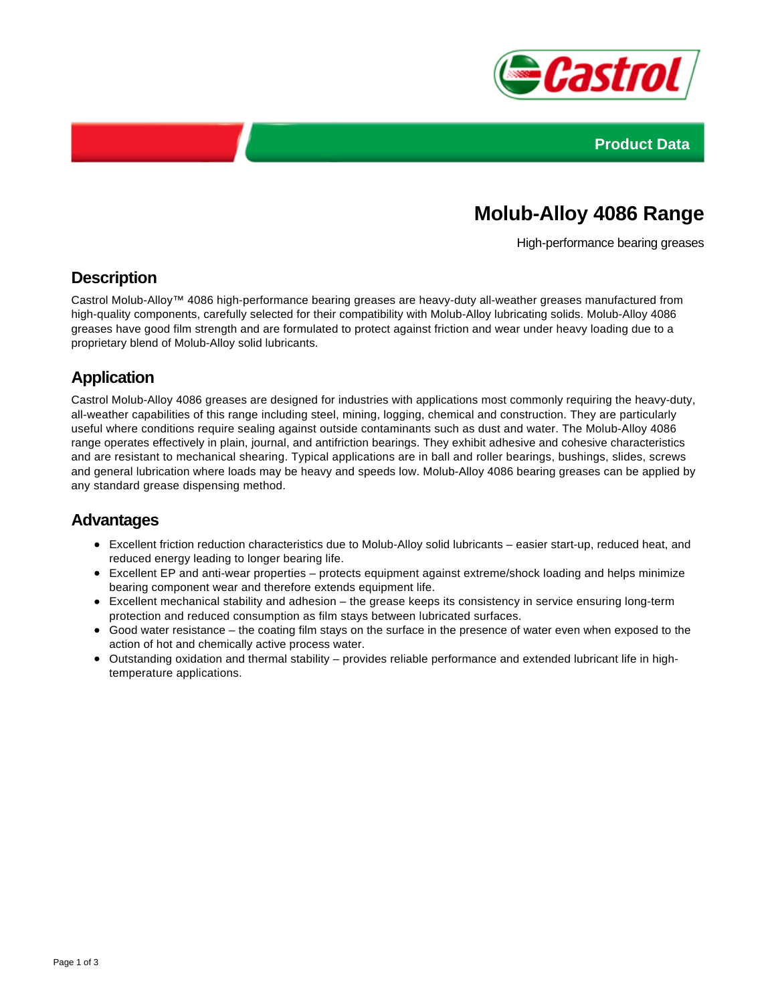



# **Molub-Alloy 4086 Range**

High-performance bearing greases

#### **Description**

Castrol Molub-Alloy™ 4086 high-performance bearing greases are heavy-duty all-weather greases manufactured from high-quality components, carefully selected for their compatibility with Molub-Alloy lubricating solids. Molub-Alloy 4086 greases have good film strength and are formulated to protect against friction and wear under heavy loading due to a proprietary blend of Molub-Alloy solid lubricants.

### **Application**

Castrol Molub-Alloy 4086 greases are designed for industries with applications most commonly requiring the heavy-duty, all-weather capabilities of this range including steel, mining, logging, chemical and construction. They are particularly useful where conditions require sealing against outside contaminants such as dust and water. The Molub-Alloy 4086 range operates effectively in plain, journal, and antifriction bearings. They exhibit adhesive and cohesive characteristics and are resistant to mechanical shearing. Typical applications are in ball and roller bearings, bushings, slides, screws and general lubrication where loads may be heavy and speeds low. Molub-Alloy 4086 bearing greases can be applied by any standard grease dispensing method.

#### **Advantages**

- Excellent friction reduction characteristics due to Molub-Alloy solid lubricants easier start-up, reduced heat, and reduced energy leading to longer bearing life.
- Excellent EP and anti-wear properties protects equipment against extreme/shock loading and helps minimize bearing component wear and therefore extends equipment life.
- Excellent mechanical stability and adhesion the grease keeps its consistency in service ensuring long-term protection and reduced consumption as film stays between lubricated surfaces.
- Good water resistance the coating film stays on the surface in the presence of water even when exposed to the action of hot and chemically active process water.
- Outstanding oxidation and thermal stability provides reliable performance and extended lubricant life in hightemperature applications.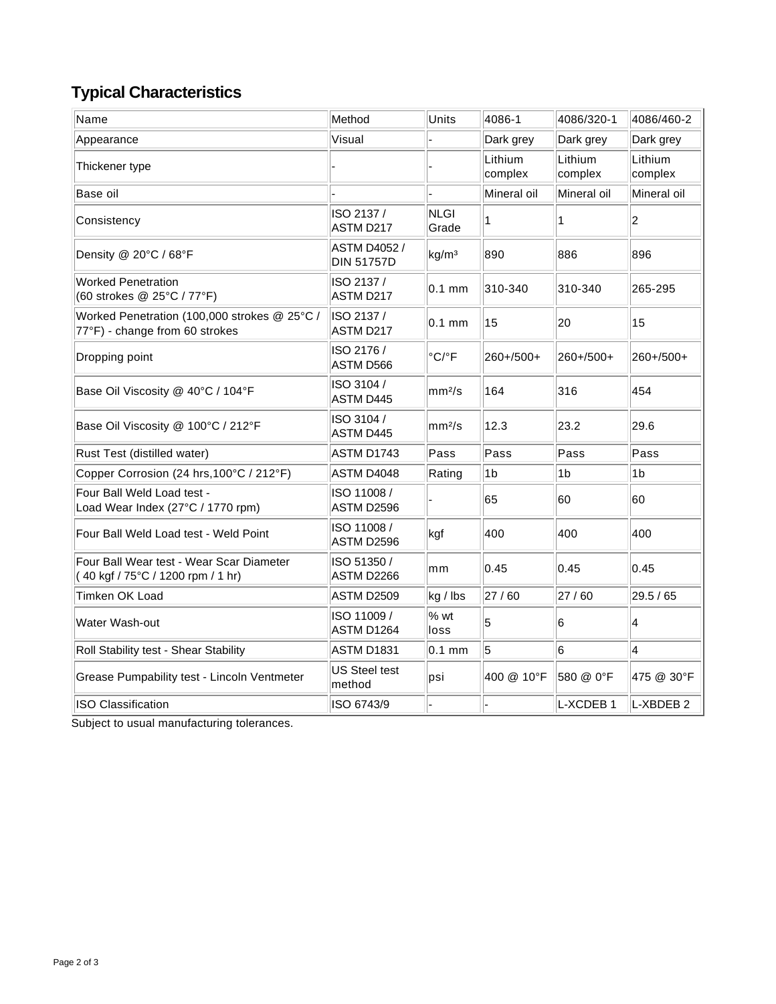## **Typical Characteristics**

| Name                                                                           | Method                                   | Units                      | 4086-1             | 4086/320-1         | 4086/460-2           |
|--------------------------------------------------------------------------------|------------------------------------------|----------------------------|--------------------|--------------------|----------------------|
| Appearance                                                                     | Visual                                   |                            | Dark grey          | Dark grey          | Dark grey            |
| Thickener type                                                                 |                                          |                            | Lithium<br>complex | Lithium<br>complex | Lithium<br>complex   |
| Base oil                                                                       |                                          |                            | Mineral oil        | Mineral oil        | Mineral oil          |
| Consistency                                                                    | ISO 2137 /<br>ASTM D217                  | <b>NLGI</b><br>Grade       | 1                  | 1                  | 2                    |
| Density @ 20°C / 68°F                                                          | <b>ASTM D4052 /</b><br><b>DIN 51757D</b> | kg/m <sup>3</sup>          | 890                | 886                | 896                  |
| <b>Worked Penetration</b><br>(60 strokes @ 25°C / 77°F)                        | ISO 2137 /<br>ASTM D217                  | $0.1$ mm                   | 310-340            | 310-340            | 265-295              |
| Worked Penetration (100,000 strokes @ 25°C /<br>77°F) - change from 60 strokes | ISO 2137 /<br>ASTM D217                  | $0.1$ mm                   | 15                 | 20                 | 15                   |
| Dropping point                                                                 | ISO 2176 /<br>ASTM D566                  | $^{\circ}$ C/ $^{\circ}$ F | 260+/500+          | 260+/500+          | 260+/500+            |
| Base Oil Viscosity @ 40°C / 104°F                                              | ISO 3104 /<br>ASTM D445                  | mm <sup>2</sup> /s         | 164                | 316                | 454                  |
| Base Oil Viscosity @ 100°C / 212°F                                             | ISO 3104 /<br>ASTM D445                  | mm <sup>2</sup> /s         | 12.3               | 23.2               | 29.6                 |
| Rust Test (distilled water)                                                    | ASTM D1743                               | Pass                       | Pass               | Pass               | Pass                 |
| Copper Corrosion (24 hrs, 100°C / 212°F)                                       | ASTM D4048                               | Rating                     | 1 <sub>b</sub>     | 1 <sub>b</sub>     | 1b                   |
| Four Ball Weld Load test -<br>Load Wear Index (27°C / 1770 rpm)                | ISO 11008 /<br>ASTM D2596                |                            | 65                 | 60                 | 60                   |
| Four Ball Weld Load test - Weld Point                                          | ISO 11008 /<br>ASTM D2596                | kgf                        | 400                | 400                | 400                  |
| Four Ball Wear test - Wear Scar Diameter<br>(40 kgf / 75°C / 1200 rpm / 1 hr)  | ISO 51350 /<br>ASTM D2266                | mm                         | 0.45               | 0.45               | 0.45                 |
| Timken OK Load                                                                 | ASTM D2509                               | kg / lbs                   | 27 / 60            | 27/60              | 29.5 / 65            |
| Water Wash-out                                                                 | ISO 11009 /<br>ASTM D1264                | % wt<br>loss               | 5                  | 6                  | 4                    |
| Roll Stability test - Shear Stability                                          | ASTM D1831                               | $0.1$ mm                   | 5                  | 6                  | $\overline{4}$       |
| Grease Pumpability test - Lincoln Ventmeter                                    | <b>US Steel test</b><br>method           | psi                        | 400 @ 10°F         | 580 @ 0°F          | 475 @ 30°F           |
| ISO Classification                                                             | ISO 6743/9                               |                            |                    | L-XCDEB 1          | L-XBDEB <sub>2</sub> |

Subject to usual manufacturing tolerances.